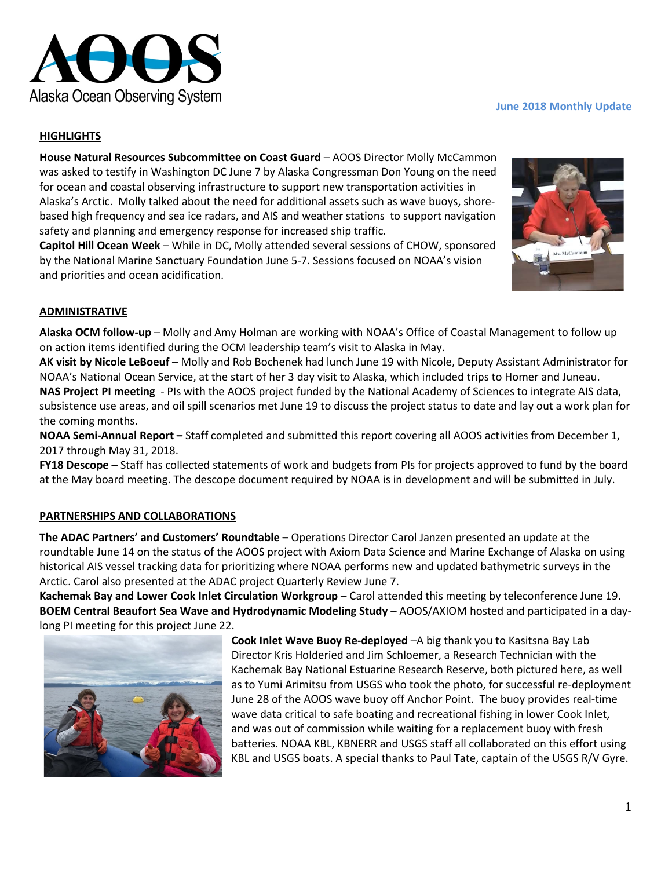

# **HIGHLIGHTS**

**House Natural Resources Subcommittee on Coast Guard** – AOOS Director Molly McCammon was asked to testify in Washington DC June 7 by Alaska Congressman Don Young on the need for ocean and coastal observing infrastructure to support new transportation activities in Alaska's Arctic. Molly talked about the need for additional assets such as wave buoys, shorebased high frequency and sea ice radars, and AIS and weather stations to support navigation safety and planning and emergency response for increased ship traffic.

**Capitol Hill Ocean Week** – While in DC, Molly attended several sessions of CHOW, sponsored by the National Marine Sanctuary Foundation June 5-7. Sessions focused on NOAA's vision and priorities and ocean acidification.

# **June 2018 Monthly Update**



### **ADMINISTRATIVE**

**Alaska OCM follow-up** – Molly and Amy Holman are working with NOAA's Office of Coastal Management to follow up on action items identified during the OCM leadership team's visit to Alaska in May.

**AK visit by Nicole LeBoeuf** – Molly and Rob Bochenek had lunch June 19 with Nicole, Deputy Assistant Administrator for NOAA's National Ocean Service, at the start of her 3 day visit to Alaska, which included trips to Homer and Juneau. **NAS Project PI meeting** - PIs with the AOOS project funded by the National Academy of Sciences to integrate AIS data, subsistence use areas, and oil spill scenarios met June 19 to discuss the project status to date and lay out a work plan for the coming months.

**NOAA Semi-Annual Report –** Staff completed and submitted this report covering all AOOS activities from December 1, 2017 through May 31, 2018.

**FY18 Descope –** Staff has collected statements of work and budgets from PIs for projects approved to fund by the board at the May board meeting. The descope document required by NOAA is in development and will be submitted in July.

#### **PARTNERSHIPS AND COLLABORATIONS**

**The ADAC Partners' and Customers' Roundtable –** Operations Director Carol Janzen presented an update at the roundtable June 14 on the status of the AOOS project with Axiom Data Science and Marine Exchange of Alaska on using historical AIS vessel tracking data for prioritizing where NOAA performs new and updated bathymetric surveys in the Arctic. Carol also presented at the ADAC project Quarterly Review June 7.

**Kachemak Bay and Lower Cook Inlet Circulation Workgroup** – Carol attended this meeting by teleconference June 19. **BOEM Central Beaufort Sea Wave and Hydrodynamic Modeling Study** – AOOS/AXIOM hosted and participated in a daylong PI meeting for this project June 22.



**Cook Inlet Wave Buoy Re-deployed** –A big thank you to Kasitsna Bay Lab Director Kris Holderied and Jim Schloemer, a Research Technician with the Kachemak Bay National Estuarine Research Reserve, both pictured here, as well as to Yumi Arimitsu from USGS who took the photo, for successful re-deployment June 28 of the AOOS wave buoy off Anchor Point. The buoy provides real-time wave data critical to safe boating and recreational fishing in lower Cook Inlet, and was out of commission while waiting for a replacement buoy with fresh batteries. NOAA KBL, KBNERR and USGS staff all collaborated on this effort using KBL and USGS boats. A special thanks to Paul Tate, captain of the USGS R/V Gyre.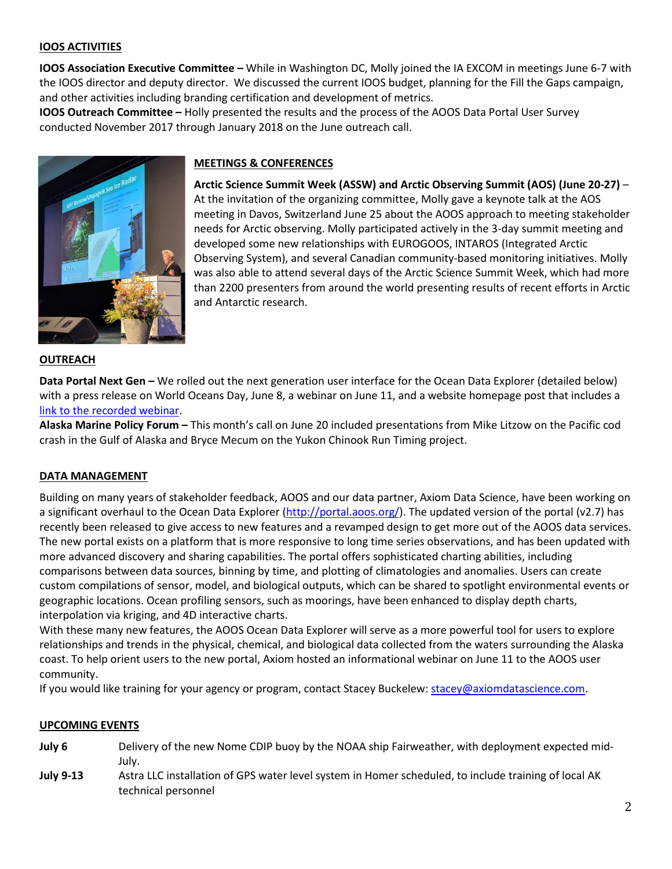# **IOOS ACTIVITIES**

**IOOS Association Executive Committee –** While in Washington DC, Molly joined the IA EXCOM in meetings June 6-7 with the IOOS director and deputy director. We discussed the current IOOS budget, planning for the Fill the Gaps campaign, and other activities including branding certification and development of metrics.

**IOOS Outreach Committee –** Holly presented the results and the process of the AOOS Data Portal User Survey conducted November 2017 through January 2018 on the June outreach call.



# **MEETINGS & CONFERENCES**

**Arctic Science Summit Week (ASSW) and Arctic Observing Summit (AOS) (June 20-27)** – At the invitation of the organizing committee, Molly gave a keynote talk at the AOS meeting in Davos, Switzerland June 25 about the AOOS approach to meeting stakeholder needs for Arctic observing. Molly participated actively in the 3-day summit meeting and developed some new relationships with EUROGOOS, INTAROS (Integrated Arctic Observing System), and several Canadian community-based monitoring initiatives. Molly was also able to attend several days of the Arctic Science Summit Week, which had more than 2200 presenters from around the world presenting results of recent efforts in Arctic and Antarctic research.

#### **OUTREACH**

**Data Portal Next Gen –** We rolled out the next generation user interface for the Ocean Data Explorer (detailed below) with a press release on World Oceans Day, June 8, a webinar on June 11, and a website homepage post that includes a [link to the recorded webinar.](https://youtu.be/dIh9Hp0JA34)

**Alaska Marine Policy Forum –** This month's call on June 20 included presentations from Mike Litzow on the Pacific cod crash in the Gulf of Alaska and Bryce Mecum on the Yukon Chinook Run Timing project.

#### **DATA MANAGEMENT**

Building on many years of stakeholder feedback, AOOS and our data partner, Axiom Data Science, have been working on a significant overhaul to the Ocean Data Explorer [\(http://portal.aoos.org/\)](http://portal.aoos.org/). The updated version of the portal (v2.7) has recently been released to give access to new features and a revamped design to get more out of the AOOS data services. The new portal exists on a platform that is more responsive to long time series observations, and has been updated with more advanced discovery and sharing capabilities. The portal offers sophisticated charting abilities, including comparisons between data sources, binning by time, and plotting of climatologies and anomalies. Users can create custom compilations of sensor, model, and biological outputs, which can be shared to spotlight environmental events or geographic locations. Ocean profiling sensors, such as moorings, have been enhanced to display depth charts, interpolation via kriging, and 4D interactive charts.

With these many new features, the AOOS Ocean Data Explorer will serve as a more powerful tool for users to explore relationships and trends in the physical, chemical, and biological data collected from the waters surrounding the Alaska coast. To help orient users to the new portal, Axiom hosted an informational webinar on June 11 to the AOOS user community.

If you would like training for your agency or program, contact Stacey Buckelew: [stacey@axiomdatascience.com.](mailto:stacey@axiomdatascience.com)

#### **UPCOMING EVENTS**

- **July 6** Delivery of the new Nome CDIP buoy by the NOAA ship Fairweather, with deployment expected mid-July.
- **July 9-13** Astra LLC installation of GPS water level system in Homer scheduled, to include training of local AK technical personnel